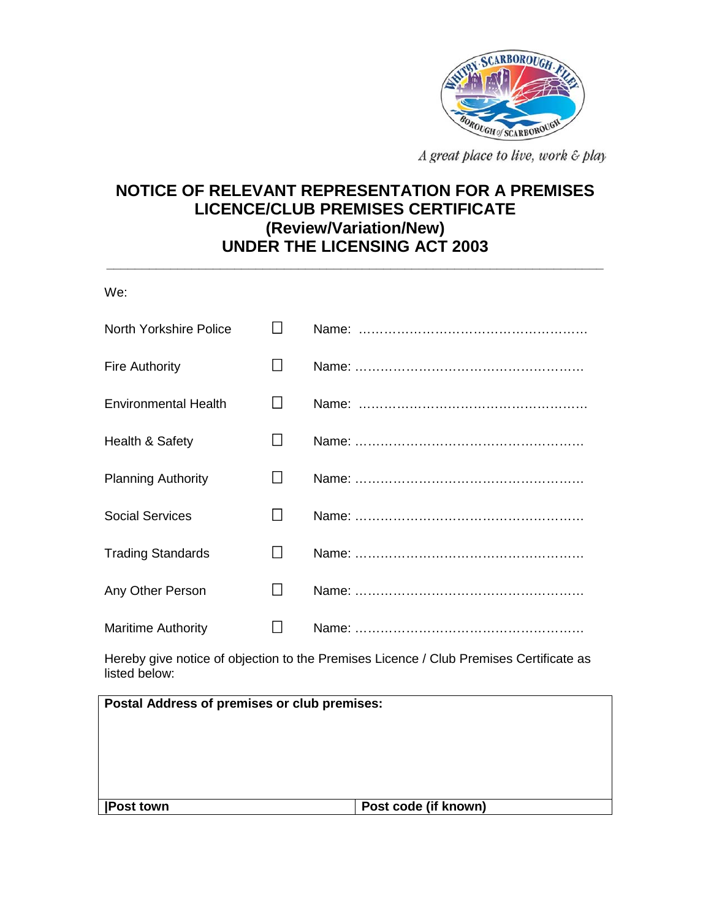

A great place to live, work & play-

## **NOTICE OF RELEVANT REPRESENTATION FOR A PREMISES LICENCE/CLUB PREMISES CERTIFICATE (Review/Variation/New) UNDER THE LICENSING ACT 2003**

**\_\_\_\_\_\_\_\_\_\_\_\_\_\_\_\_\_\_\_\_\_\_\_\_\_\_\_\_\_\_\_\_\_\_\_\_\_\_\_\_\_\_\_\_\_\_\_\_\_\_\_\_\_\_\_\_\_\_\_\_\_\_\_\_\_\_\_\_\_\_** 

| We:                                                                                                     |                 |  |  |  |
|---------------------------------------------------------------------------------------------------------|-----------------|--|--|--|
| <b>North Yorkshire Police</b>                                                                           | $\perp$         |  |  |  |
| <b>Fire Authority</b>                                                                                   | $\perp$         |  |  |  |
| <b>Environmental Health</b>                                                                             | $\mathsf{L}$    |  |  |  |
| Health & Safety                                                                                         |                 |  |  |  |
| <b>Planning Authority</b>                                                                               | $\mathsf{L}$    |  |  |  |
| <b>Social Services</b>                                                                                  | $\mathsf{L}$    |  |  |  |
| <b>Trading Standards</b>                                                                                | $\vert \ \vert$ |  |  |  |
| Any Other Person                                                                                        | $\vert \ \vert$ |  |  |  |
| <b>Maritime Authority</b>                                                                               | $\perp$         |  |  |  |
| Hereby give notice of objection to the Premises Licence / Club Premises Certificate as<br>listed below: |                 |  |  |  |
|                                                                                                         |                 |  |  |  |

| Postal Address of premises or club premises: |                      |  |
|----------------------------------------------|----------------------|--|
|                                              |                      |  |
|                                              |                      |  |
|                                              |                      |  |
|                                              |                      |  |
| <b>Post town</b>                             | Post code (if known) |  |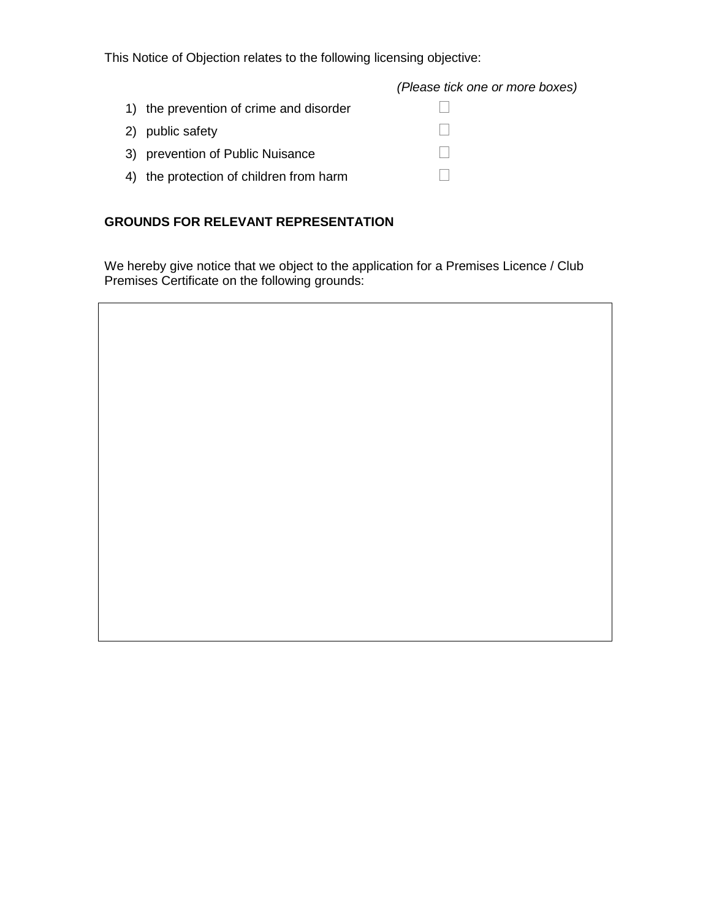This Notice of Objection relates to the following licensing objective:

*(Please tick one or more boxes)*

| 1) the prevention of crime and disorder |  |
|-----------------------------------------|--|
| 2) public safety                        |  |
| 3) prevention of Public Nuisance        |  |
| 4) the protection of children from harm |  |

## **GROUNDS FOR RELEVANT REPRESENTATION**

We hereby give notice that we object to the application for a Premises Licence / Club Premises Certificate on the following grounds: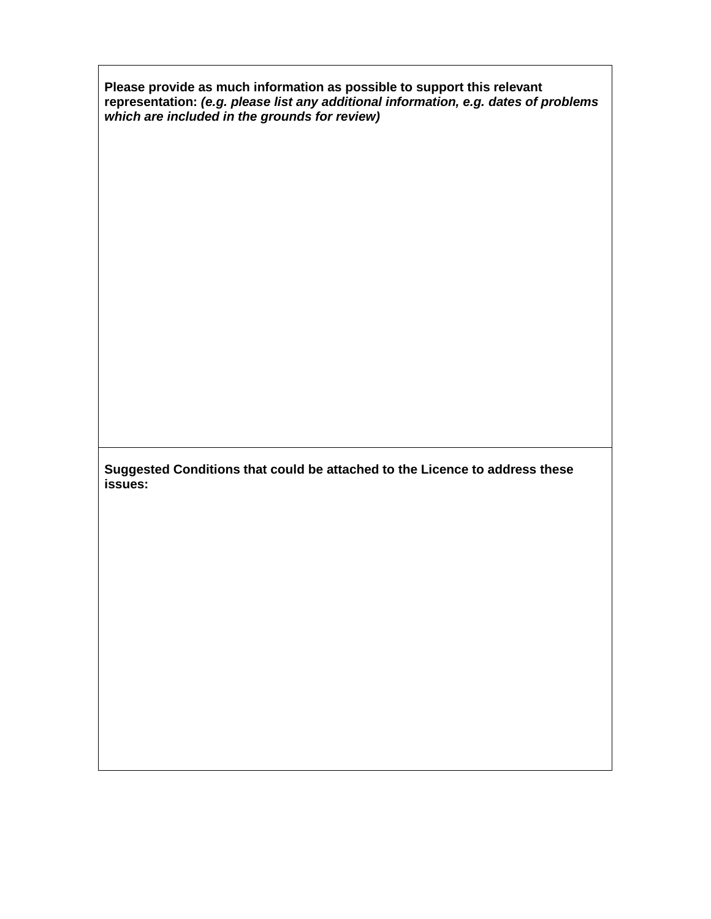**Please provide as much information as possible to support this relevant representation:** *(e.g. please list any additional information, e.g. dates of problems which are included in the grounds for review)*

**Suggested Conditions that could be attached to the Licence to address these issues:**